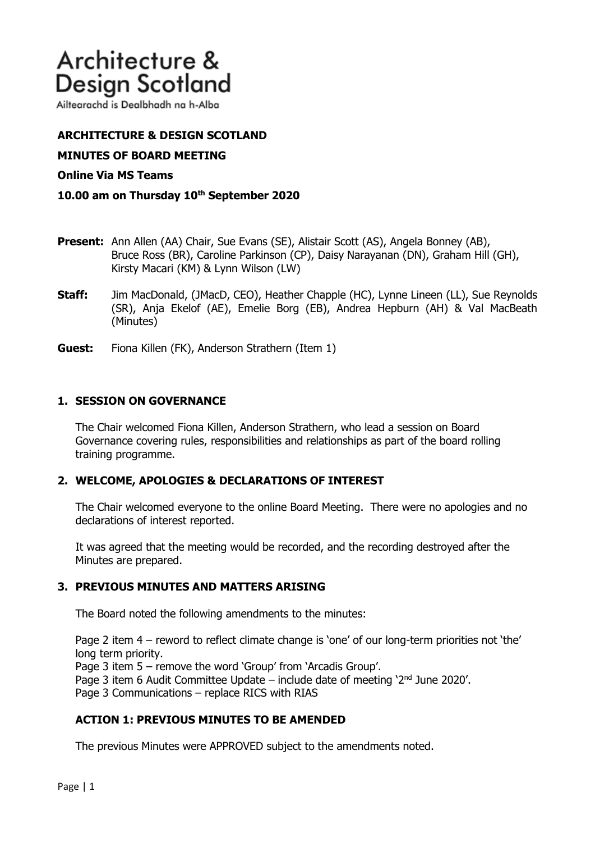# Architecture & **Design Scotland**

Ailtearachd is Dealbhadh na h-Alba

# **ARCHITECTURE & DESIGN SCOTLAND**

## **MINUTES OF BOARD MEETING**

## **Online Via MS Teams**

### **10.00 am on Thursday 10th September 2020**

- **Present:** Ann Allen (AA) Chair, Sue Evans (SE), Alistair Scott (AS), Angela Bonney (AB), Bruce Ross (BR), Caroline Parkinson (CP), Daisy Narayanan (DN), Graham Hill (GH), Kirsty Macari (KM) & Lynn Wilson (LW)
- **Staff:** Jim MacDonald, (JMacD, CEO), Heather Chapple (HC), Lynne Lineen (LL), Sue Reynolds (SR), Anja Ekelof (AE), Emelie Borg (EB), Andrea Hepburn (AH) & Val MacBeath (Minutes)
- **Guest:** Fiona Killen (FK), Anderson Strathern (Item 1)

### **1. SESSION ON GOVERNANCE**

The Chair welcomed Fiona Killen, Anderson Strathern, who lead a session on Board Governance covering rules, responsibilities and relationships as part of the board rolling training programme.

### **2. WELCOME, APOLOGIES & DECLARATIONS OF INTEREST**

The Chair welcomed everyone to the online Board Meeting. There were no apologies and no declarations of interest reported.

It was agreed that the meeting would be recorded, and the recording destroyed after the Minutes are prepared.

### **3. PREVIOUS MINUTES AND MATTERS ARISING**

The Board noted the following amendments to the minutes:

Page 2 item 4 – reword to reflect climate change is 'one' of our long-term priorities not 'the' long term priority.

Page 3 item 5 – remove the word 'Group' from 'Arcadis Group'.

Page 3 item 6 Audit Committee Update – include date of meeting '2<sup>nd</sup> June 2020'.

Page 3 Communications – replace RICS with RIAS

# **ACTION 1: PREVIOUS MINUTES TO BE AMENDED**

The previous Minutes were APPROVED subject to the amendments noted.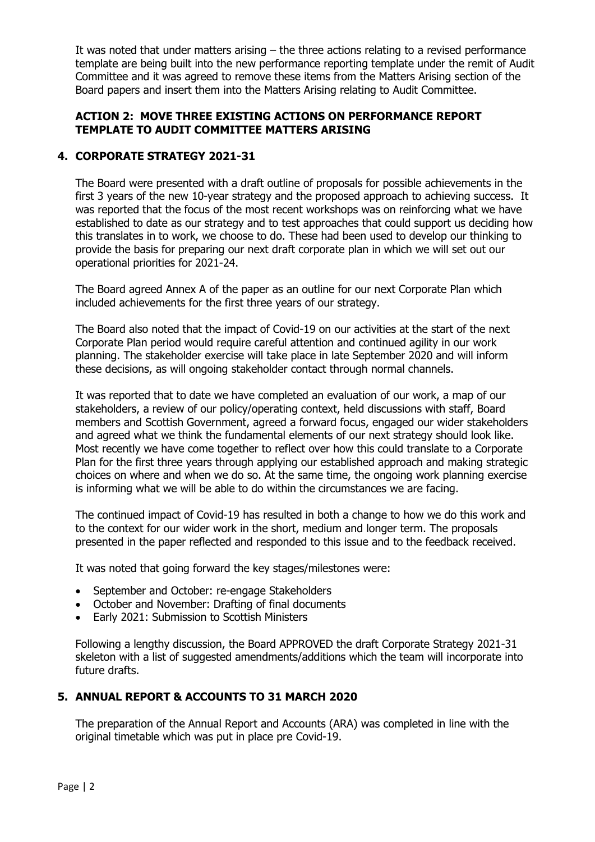It was noted that under matters arising – the three actions relating to a revised performance template are being built into the new performance reporting template under the remit of Audit Committee and it was agreed to remove these items from the Matters Arising section of the Board papers and insert them into the Matters Arising relating to Audit Committee.

## **ACTION 2: MOVE THREE EXISTING ACTIONS ON PERFORMANCE REPORT TEMPLATE TO AUDIT COMMITTEE MATTERS ARISING**

## **4. CORPORATE STRATEGY 2021-31**

The Board were presented with a draft outline of proposals for possible achievements in the first 3 years of the new 10-year strategy and the proposed approach to achieving success. It was reported that the focus of the most recent workshops was on reinforcing what we have established to date as our strategy and to test approaches that could support us deciding how this translates in to work, we choose to do. These had been used to develop our thinking to provide the basis for preparing our next draft corporate plan in which we will set out our operational priorities for 2021-24.

The Board agreed Annex A of the paper as an outline for our next Corporate Plan which included achievements for the first three years of our strategy.

The Board also noted that the impact of Covid-19 on our activities at the start of the next Corporate Plan period would require careful attention and continued agility in our work planning. The stakeholder exercise will take place in late September 2020 and will inform these decisions, as will ongoing stakeholder contact through normal channels.

It was reported that to date we have completed an evaluation of our work, a map of our stakeholders, a review of our policy/operating context, held discussions with staff, Board members and Scottish Government, agreed a forward focus, engaged our wider stakeholders and agreed what we think the fundamental elements of our next strategy should look like. Most recently we have come together to reflect over how this could translate to a Corporate Plan for the first three years through applying our established approach and making strategic choices on where and when we do so. At the same time, the ongoing work planning exercise is informing what we will be able to do within the circumstances we are facing.

The continued impact of Covid-19 has resulted in both a change to how we do this work and to the context for our wider work in the short, medium and longer term. The proposals presented in the paper reflected and responded to this issue and to the feedback received.

It was noted that going forward the key stages/milestones were:

- September and October: re-engage Stakeholders
- October and November: Drafting of final documents
- Early 2021: Submission to Scottish Ministers

Following a lengthy discussion, the Board APPROVED the draft Corporate Strategy 2021-31 skeleton with a list of suggested amendments/additions which the team will incorporate into future drafts.

### **5. ANNUAL REPORT & ACCOUNTS TO 31 MARCH 2020**

The preparation of the Annual Report and Accounts (ARA) was completed in line with the original timetable which was put in place pre Covid-19.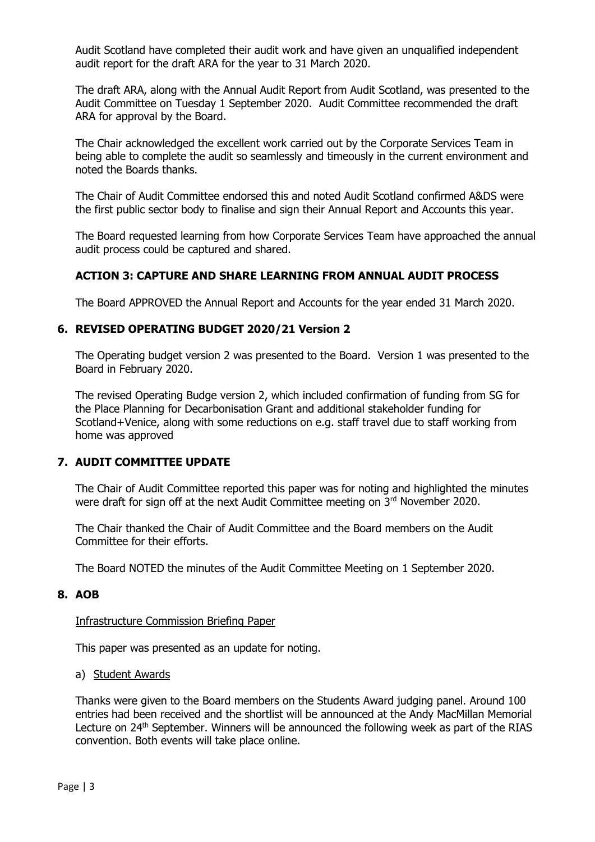Audit Scotland have completed their audit work and have given an unqualified independent audit report for the draft ARA for the year to 31 March 2020.

The draft ARA, along with the Annual Audit Report from Audit Scotland, was presented to the Audit Committee on Tuesday 1 September 2020. Audit Committee recommended the draft ARA for approval by the Board.

The Chair acknowledged the excellent work carried out by the Corporate Services Team in being able to complete the audit so seamlessly and timeously in the current environment and noted the Boards thanks.

The Chair of Audit Committee endorsed this and noted Audit Scotland confirmed A&DS were the first public sector body to finalise and sign their Annual Report and Accounts this year.

The Board requested learning from how Corporate Services Team have approached the annual audit process could be captured and shared.

# **ACTION 3: CAPTURE AND SHARE LEARNING FROM ANNUAL AUDIT PROCESS**

The Board APPROVED the Annual Report and Accounts for the year ended 31 March 2020.

### **6. REVISED OPERATING BUDGET 2020/21 Version 2**

The Operating budget version 2 was presented to the Board. Version 1 was presented to the Board in February 2020.

The revised Operating Budge version 2, which included confirmation of funding from SG for the Place Planning for Decarbonisation Grant and additional stakeholder funding for Scotland+Venice, along with some reductions on e.g. staff travel due to staff working from home was approved

### **7. AUDIT COMMITTEE UPDATE**

The Chair of Audit Committee reported this paper was for noting and highlighted the minutes were draft for sign off at the next Audit Committee meeting on 3rd November 2020.

The Chair thanked the Chair of Audit Committee and the Board members on the Audit Committee for their efforts.

The Board NOTED the minutes of the Audit Committee Meeting on 1 September 2020.

#### **8. AOB**

#### Infrastructure Commission Briefing Paper

This paper was presented as an update for noting.

#### a) Student Awards

Thanks were given to the Board members on the Students Award judging panel. Around 100 entries had been received and the shortlist will be announced at the Andy MacMillan Memorial Lecture on 24<sup>th</sup> September. Winners will be announced the following week as part of the RIAS convention. Both events will take place online.